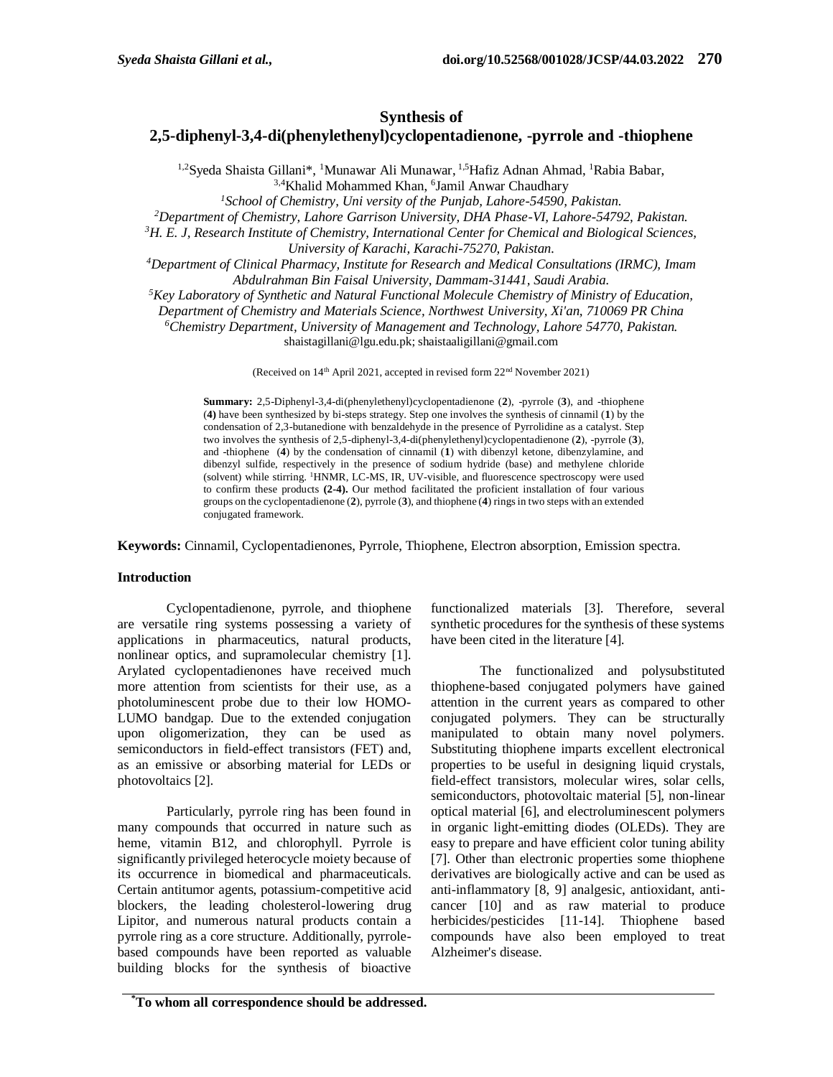# **Synthesis of**

# **2,5-diphenyl-3,4-di(phenylethenyl)cyclopentadienone, -pyrrole and -thiophene**

<sup>1,2</sup>Syeda Shaista Gillani<sup>\*</sup>, <sup>1</sup>Munawar Ali Munawar, <sup>1,5</sup>Hafiz Adnan Ahmad, <sup>1</sup>Rabia Babar, <sup>3,4</sup>Khalid Mohammed Khan, <sup>6</sup>Jamil Anwar Chaudhary

*<sup>1</sup>School of Chemistry, Uni versity of the Punjab, Lahore-54590, Pakistan.*

*<sup>2</sup>Department of Chemistry, Lahore Garrison University, DHA Phase-VI, Lahore-54792, Pakistan.*

*<sup>3</sup>H. E. J, Research Institute of Chemistry, International Center for Chemical and Biological Sciences,* 

*University of Karachi, Karachi-75270, Pakistan.*

*<sup>4</sup>Department of Clinical Pharmacy, Institute for Research and Medical Consultations (IRMC), Imam Abdulrahman Bin Faisal University, Dammam-31441, Saudi Arabia.*

*<sup>5</sup>Key Laboratory of Synthetic and Natural Functional Molecule Chemistry of Ministry of Education,* 

*Department of Chemistry and Materials Science, Northwest University, Xi'an, 710069 PR China*

*<sup>6</sup>Chemistry Department, University of Management and Technology, Lahore 54770, Pakistan.*

shaistagillani@lgu.edu.pk; shaistaaligillani@gmail.com

(Received on 14th April 2021, accepted in revised form 22nd November 2021)

**Summary:** 2,5-Diphenyl-3,4-di(phenylethenyl)cyclopentadienone (**2**), -pyrrole (**3**), and -thiophene (**4)** have been synthesized by bi-steps strategy. Step one involves the synthesis of cinnamil (**1**) by the condensation of 2,3-butanedione with benzaldehyde in the presence of Pyrrolidine as a catalyst. Step two involves the synthesis of 2,5-diphenyl-3,4-di(phenylethenyl)cyclopentadienone (**2**), -pyrrole (**3**), and -thiophene (**4**) by the condensation of cinnamil (**1**) with dibenzyl ketone, dibenzylamine, and dibenzyl sulfide, respectively in the presence of sodium hydride (base) and methylene chloride (solvent) while stirring. <sup>1</sup>HNMR, LC-MS, IR, UV-visible, and fluorescence spectroscopy were used to confirm these products **(2-4).** Our method facilitated the proficient installation of four various groups on the cyclopentadienone (**2**), pyrrole (**3**), and thiophene (**4**) rings in two steps with an extended conjugated framework.

**Keywords:** Cinnamil, Cyclopentadienones, Pyrrole, Thiophene, Electron absorption, Emission spectra.

### **Introduction**

Cyclopentadienone, pyrrole, and thiophene are versatile ring systems possessing a variety of applications in pharmaceutics, natural products, nonlinear optics, and supramolecular chemistry [1]. Arylated cyclopentadienones have received much more attention from scientists for their use, as a photoluminescent probe due to their low HOMO-LUMO bandgap. Due to the extended conjugation upon oligomerization, they can be used as semiconductors in field-effect transistors (FET) and, as an emissive or absorbing material for LEDs or photovoltaics [2].

Particularly, pyrrole ring has been found in many compounds that occurred in nature such as heme, vitamin B12, and chlorophyll. Pyrrole is significantly privileged heterocycle moiety because of its occurrence in biomedical and pharmaceuticals. Certain antitumor agents, potassium-competitive acid blockers, the leading cholesterol-lowering drug Lipitor, and numerous natural products contain a pyrrole ring as a core structure. Additionally, pyrrolebased compounds have been reported as valuable building blocks for the synthesis of bioactive functionalized materials [3]. Therefore, several synthetic procedures for the synthesis of these systems have been cited in the literature [4].

The functionalized and polysubstituted thiophene-based conjugated polymers have gained attention in the current years as compared to other conjugated polymers. They can be structurally manipulated to obtain many novel polymers. Substituting thiophene imparts excellent electronical properties to be useful in designing liquid crystals, field-effect transistors, molecular wires, solar cells, semiconductors, photovoltaic material [5], non-linear optical material [6], and electroluminescent polymers in organic light-emitting diodes (OLEDs). They are easy to prepare and have efficient color tuning ability [7]. Other than electronic properties some thiophene derivatives are biologically active and can be used as anti-inflammatory [8, 9] analgesic, antioxidant, anticancer [10] and as raw material to produce herbicides/pesticides [11-14]. Thiophene based compounds have also been employed to treat Alzheimer's disease.

**<sup>\*</sup>To whom all correspondence should be addressed.**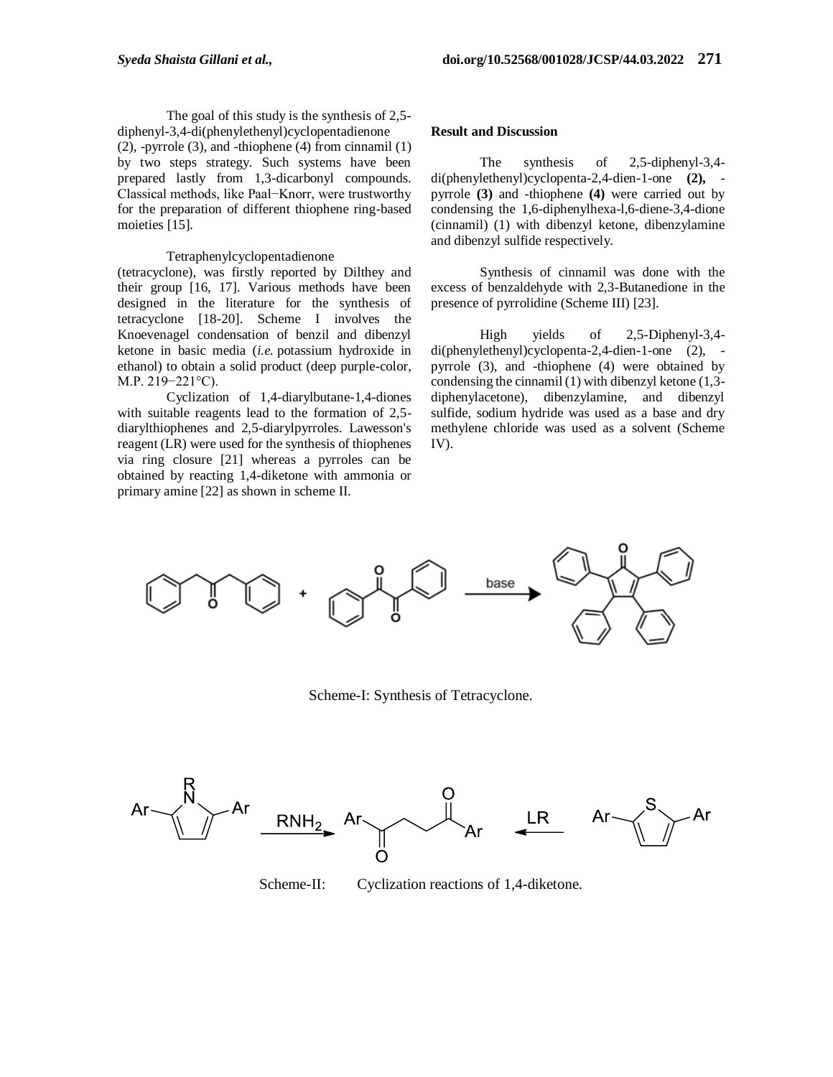The goal of this study is the synthesis of 2,5 diphenyl-3,4-di(phenylethenyl)cyclopentadienone (2), -pyrrole (3), and -thiophene (4) from cinnamil (1) by two steps strategy. Such systems have been prepared lastly from 1,3-dicarbonyl compounds. Classical methods, like Paal−Knorr, were trustworthy for the preparation of different thiophene ring-based moieties [15].

#### Tetraphenylcyclopentadienone

(tetracyclone), was firstly reported by Dilthey and their group [16, 17]. Various methods have been designed in the literature for the synthesis of tetracyclone [18-20]. Scheme I involves the Knoevenagel condensation of benzil and dibenzyl ketone in basic media (*i.e.* potassium hydroxide in ethanol) to obtain a solid product (deep purple-color, M.P. 219−221°C).

Cyclization of 1,4-diarylbutane-1,4-diones with suitable reagents lead to the formation of 2,5 diarylthiophenes and 2,5-diarylpyrroles. Lawesson's reagent (LR) were used for the synthesis of thiophenes via ring closure [21] whereas a pyrroles can be obtained by reacting 1,4-diketone with ammonia or primary amine [22] as shown in scheme II.

#### **Result and Discussion**

The synthesis of 2,5-diphenyl-3,4 di(phenylethenyl)cyclopenta-2,4-dien-1-one **(2),** pyrrole **(3)** and -thiophene **(4)** were carried out by condensing the 1,6-diphenylhexa-l,6-diene-3,4-dione (cinnamil) (1) with dibenzyl ketone, dibenzylamine and dibenzyl sulfide respectively.

Synthesis of cinnamil was done with the excess of benzaldehyde with 2,3-Butanedione in the presence of pyrrolidine (Scheme III) [23].

High yields of 2,5-Diphenyl-3,4 di(phenylethenyl)cyclopenta-2,4-dien-1-one (2), pyrrole (3), and -thiophene (4) were obtained by condensing the cinnamil (1) with dibenzyl ketone (1,3 diphenylacetone), dibenzylamine, and dibenzyl sulfide, sodium hydride was used as a base and dry methylene chloride was used as a solvent (Scheme IV).



Scheme-I: Synthesis of Tetracyclone.



Scheme-II: Cyclization reactions of 1,4-diketone.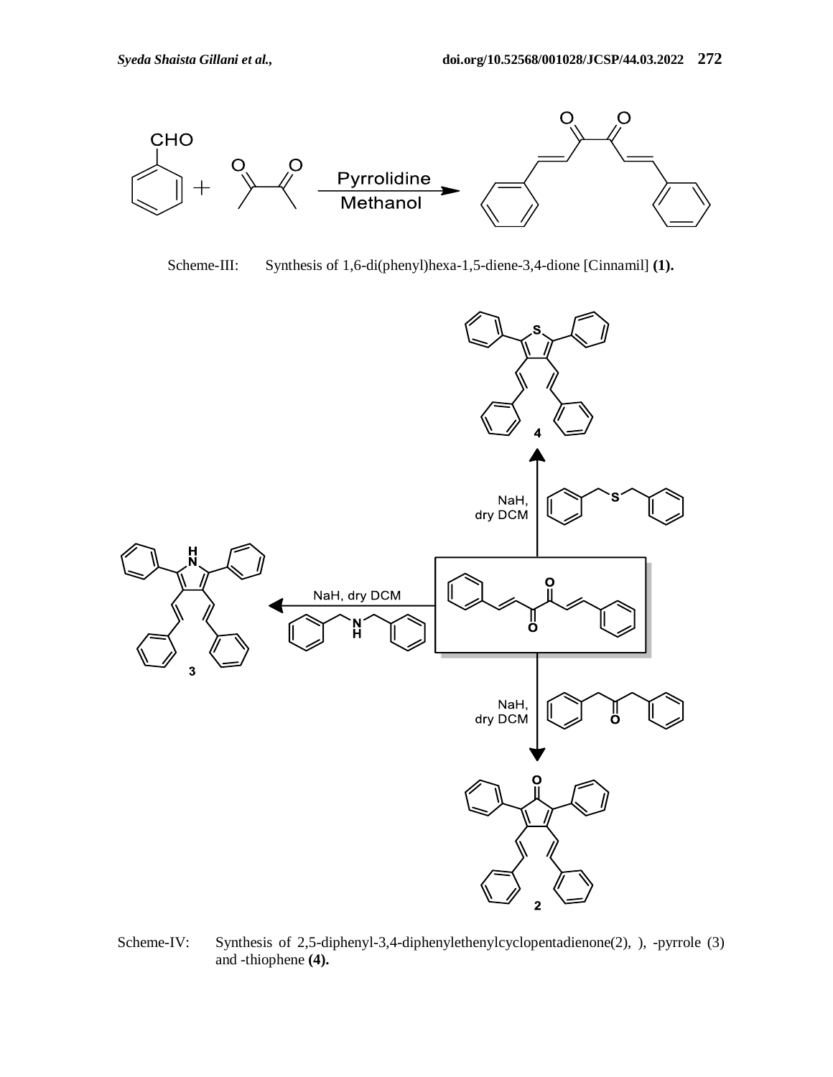

Scheme-III: Synthesis of 1,6-di(phenyl)hexa-1,5-diene-3,4-dione [Cinnamil] **(1).** 



Scheme-IV: Synthesis of 2,5-diphenyl-3,4-diphenylethenylcyclopentadienone(2), ), -pyrrole (3) and -thiophene **(4).**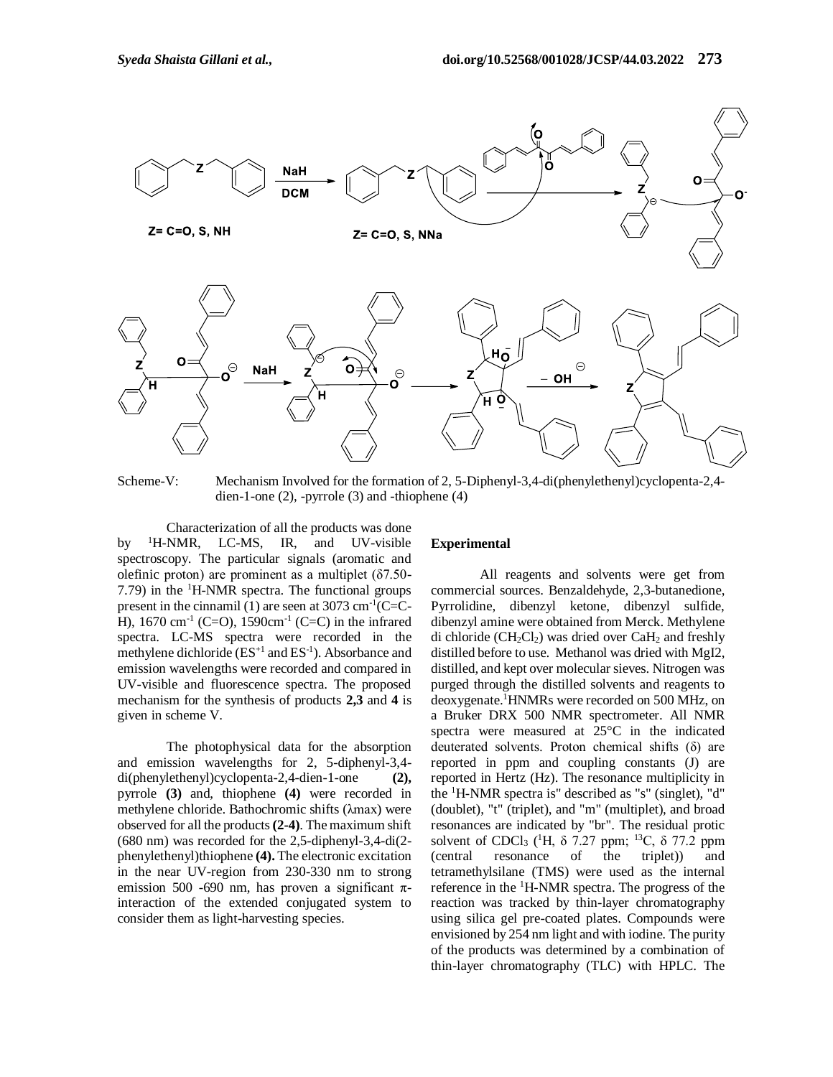

Scheme-V: Mechanism Involved for the formation of 2, 5-Diphenyl-3,4-di(phenylethenyl)cyclopenta-2,4dien-1-one (2), -pyrrole (3) and -thiophene (4)

Characterization of all the products was done by <sup>1</sup>H-NMR, LC-MS, IR, and UV-visible spectroscopy. The particular signals (aromatic and olefinic proton) are prominent as a multiplet  $(87.50-$ 7.79) in the  ${}^{1}$ H-NMR spectra. The functional groups present in the cinnamil (1) are seen at  $3073 \text{ cm}^{-1}$  (C=C-H),  $1670 \text{ cm}^{-1}$  (C=O),  $1590 \text{ cm}^{-1}$  (C=C) in the infrared spectra. LC-MS spectra were recorded in the methylene dichloride  $(ES^{+1}$  and  $ES^{-1})$ . Absorbance and emission wavelengths were recorded and compared in UV-visible and fluorescence spectra. The proposed mechanism for the synthesis of products **2,3** and **4** is given in scheme V.

The photophysical data for the absorption and emission wavelengths for 2, 5-diphenyl-3,4 di(phenylethenyl)cyclopenta-2,4-dien-1-one **(2),** pyrrole **(3)** and, thiophene **(4)** were recorded in methylene chloride. Bathochromic shifts (λmax) were observed for all the products **(2-4)**. The maximum shift (680 nm) was recorded for the 2,5-diphenyl-3,4-di(2 phenylethenyl)thiophene **(4).** The electronic excitation in the near UV-region from 230-330 nm to strong emission 500 -690 nm, has proven a significant πinteraction of the extended conjugated system to consider them as light-harvesting species.

## **Experimental**

All reagents and solvents were get from commercial sources. Benzaldehyde, 2,3-butanedione, Pyrrolidine, dibenzyl ketone, dibenzyl sulfide, dibenzyl amine were obtained from Merck. Methylene di chloride ( $CH_2Cl_2$ ) was dried over  $CaH_2$  and freshly distilled before to use. Methanol was dried with MgI2, distilled, and kept over molecular sieves. Nitrogen was purged through the distilled solvents and reagents to deoxygenate.<sup>1</sup>HNMRs were recorded on 500 MHz, on a Bruker DRX 500 NMR spectrometer. All NMR spectra were measured at 25°C in the indicated deuterated solvents. Proton chemical shifts (δ) are reported in ppm and coupling constants (J) are reported in Hertz (Hz). The resonance multiplicity in the <sup>1</sup>H-NMR spectra is" described as "s" (singlet), "d" (doublet), "t" (triplet), and "m" (multiplet), and broad resonances are indicated by "br". The residual protic solvent of CDCl<sub>3</sub> (<sup>1</sup>H,  $\delta$  7.27 ppm; <sup>13</sup>C,  $\delta$  77.2 ppm (central resonance of the triplet)) and tetramethylsilane (TMS) were used as the internal reference in the <sup>1</sup>H-NMR spectra. The progress of the reaction was tracked by thin-layer chromatography using silica gel pre-coated plates. Compounds were envisioned by 254 nm light and with iodine. The purity of the products was determined by a combination of thin-layer chromatography (TLC) with HPLC. The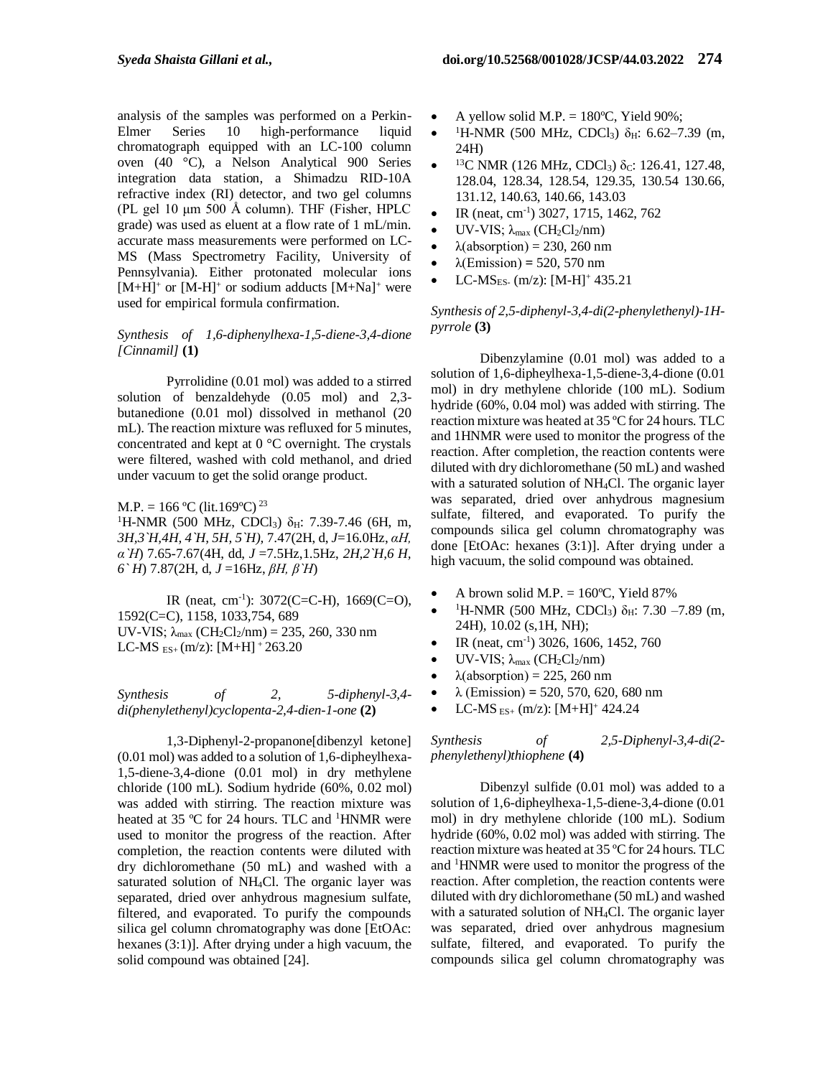analysis of the samples was performed on a Perkin-Elmer Series 10 high-performance liquid chromatograph equipped with an LC-100 column oven (40 °C), a Nelson Analytical 900 Series integration data station, a Shimadzu RID-10A refractive index (RI) detector, and two gel columns (PL gel 10 μm 500 Å column). THF (Fisher, HPLC grade) was used as eluent at a flow rate of 1 mL/min. accurate mass measurements were performed on LC-MS (Mass Spectrometry Facility, University of Pennsylvania). Either protonated molecular ions  $[M+H]^+$  or  $[M-H]^+$  or sodium adducts  $[M+Na]^+$  were used for empirical formula confirmation.

## *Synthesis of 1,6-diphenylhexa-1,5-diene-3,4-dione [Cinnamil]* **(1)**

Pyrrolidine (0.01 mol) was added to a stirred solution of benzaldehyde (0.05 mol) and 2,3 butanedione (0.01 mol) dissolved in methanol (20 mL). The reaction mixture was refluxed for 5 minutes, concentrated and kept at 0 °C overnight. The crystals were filtered, washed with cold methanol, and dried under vacuum to get the solid orange product.

 $M.P. = 166 °C$  (lit.169°C)<sup>23</sup>

<sup>1</sup>H-NMR (500 MHz, CDCl<sub>3</sub>) δ<sub>H</sub>: 7.39-7.46 (6H, m, *3H,3`H,4H, 4`H, 5H, 5`H),* 7.47(2H, d, *J*=16.0Hz, *αH, α`H*) 7.65-7.67(4H, dd, *J* =7.5Hz,1.5Hz, *2H,2`H,6 H, 6` H*) 7.87(2H, d, *J* =16Hz, *βH, β`H*)

IR (neat, cm<sup>-1</sup>):  $3072$ (C=C-H),  $1669$ (C=O), 1592(C=C), 1158, 1033,754, 689 UV-VIS;  $\lambda_{\text{max}}$  (CH<sub>2</sub>Cl<sub>2</sub>/nm) = 235, 260, 330 nm LC-MS  $_{ES+}$  (m/z): [M+H] + 263.20

*Synthesis of 2, 5-diphenyl-3,4 di(phenylethenyl)cyclopenta-2,4-dien-1-one* **(2)**

1,3-Diphenyl-2-propanone[dibenzyl ketone] (0.01 mol) was added to a solution of 1,6-dipheylhexa-1,5-diene-3,4-dione (0.01 mol) in dry methylene chloride (100 mL). Sodium hydride (60%, 0.02 mol) was added with stirring. The reaction mixture was heated at 35  $\degree$ C for 24 hours. TLC and <sup>1</sup>HNMR were used to monitor the progress of the reaction. After completion, the reaction contents were diluted with dry dichloromethane (50 mL) and washed with a saturated solution of NH4Cl. The organic layer was separated, dried over anhydrous magnesium sulfate, filtered, and evaporated. To purify the compounds silica gel column chromatography was done [EtOAc: hexanes (3:1)]. After drying under a high vacuum, the solid compound was obtained [24].

- A yellow solid M.P.  $= 180^{\circ}C$ , Yield 90%;
- $\bullet$ <sup>1</sup>H-NMR (500 MHz, CDCl<sub>3</sub>)  $\delta$ <sub>H</sub>: 6.62–7.39 (m, 24H)
- $\bullet$ <sup>13</sup>C NMR (126 MHz, CDCl<sub>3</sub>) δ<sub>C</sub>: 126.41, 127.48, 128.04, 128.34, 128.54, 129.35, 130.54 130.66, 131.12, 140.63, 140.66, 143.03
- IR (neat, cm<sup>-1</sup>) 3027, 1715, 1462, 762
- UV-VIS;  $\lambda_{\text{max}}$  (CH<sub>2</sub>Cl<sub>2</sub>/nm)
- $\lambda$ (absorption) = 230, 260 nm
- λ(Emission) **=** 520, 570 nm
- LC-MS<sub>ES</sub>- (m/z): [M-H]<sup>+</sup> 435.21

## *Synthesis of 2,5-diphenyl-3,4-di(2-phenylethenyl)-1Hpyrrole* **(3)**

Dibenzylamine (0.01 mol) was added to a solution of 1,6-dipheylhexa-1,5-diene-3,4-dione (0.01 mol) in dry methylene chloride (100 mL). Sodium hydride (60%, 0.04 mol) was added with stirring. The reaction mixture was heated at 35 ºC for 24 hours. TLC and 1HNMR were used to monitor the progress of the reaction. After completion, the reaction contents were diluted with dry dichloromethane (50 mL) and washed with a saturated solution of NH4Cl. The organic layer was separated, dried over anhydrous magnesium sulfate, filtered, and evaporated. To purify the compounds silica gel column chromatography was done [EtOAc: hexanes (3:1)]. After drying under a high vacuum, the solid compound was obtained.

- A brown solid M.P.  $= 160^{\circ}$ C, Yield 87%
- $\bullet$ <sup>1</sup>H-NMR (500 MHz, CDCl<sub>3</sub>) δ<sub>H</sub>: 7.30 –7.89 (m, 24H), 10.02 (s,1H, NH);
- IR (neat, cm<sup>-1</sup>) 3026, 1606, 1452, 760
- $\bullet$  UV-VIS;  $\lambda_{\text{max}}$  (CH<sub>2</sub>Cl<sub>2</sub>/nm)
- $\lambda$ (absorption) = 225, 260 nm
- λ (Emission) **=** 520, 570, 620, 680 nm
- LC-MS  $_{ES+}$  (m/z): [M+H]<sup>+</sup> 424.24

*Synthesis of 2,5-Diphenyl-3,4-di(2 phenylethenyl)thiophene* **(4)**

Dibenzyl sulfide (0.01 mol) was added to a solution of 1,6-dipheylhexa-1,5-diene-3,4-dione (0.01 mol) in dry methylene chloride (100 mL). Sodium hydride (60%, 0.02 mol) was added with stirring. The reaction mixture was heated at 35 ºC for 24 hours. TLC and <sup>1</sup>HNMR were used to monitor the progress of the reaction. After completion, the reaction contents were diluted with dry dichloromethane (50 mL) and washed with a saturated solution of NH4Cl. The organic layer was separated, dried over anhydrous magnesium sulfate, filtered, and evaporated. To purify the compounds silica gel column chromatography was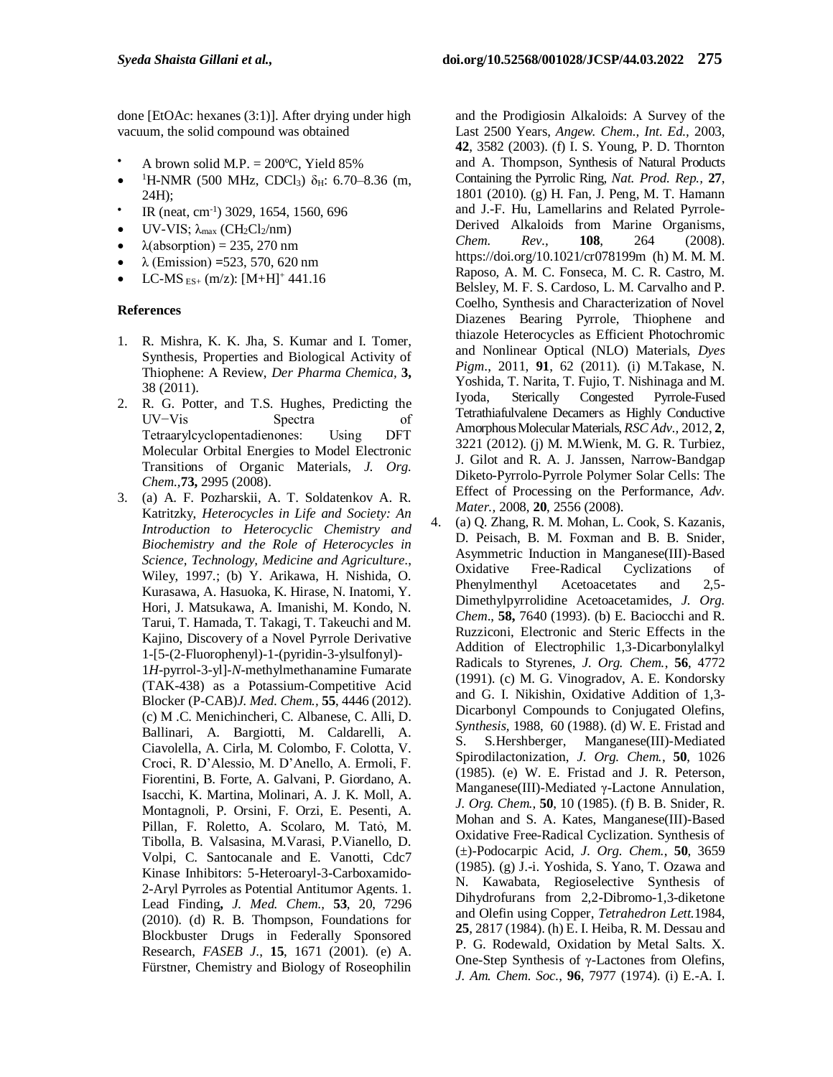done [EtOAc: hexanes (3:1)]. After drying under high vacuum, the solid compound was obtained

- A brown solid M.P.  $= 200^{\circ}$ C, Yield 85%
- $\bullet$ <sup>1</sup>H-NMR (500 MHz, CDCl<sub>3</sub>)  $\delta_{H}$ : 6.70–8.36 (m, 24H);
- $\bullet$ IR (neat, cm-1 ) 3029, 1654, 1560, 696
- UV-VIS;  $\lambda_{\text{max}}$  (CH<sub>2</sub>Cl<sub>2</sub>/nm)
- $\lambda$ (absorption) = 235, 270 nm
- λ (Emission) **=**523, 570, 620 nm
- LC-MS  $ES_{+}$  (m/z): [M+H]<sup>+</sup> 441.16

## **References**

- 1. R. Mishra, K. K. Jha, S. Kumar and I. Tomer, Synthesis, Properties and Biological Activity of Thiophene: A Review, *Der Pharma Chemica,* **3,** 38 (2011).
- 2. R. G. Potter, and T.S. Hughes, Predicting the UV−Vis Spectra of Tetraarylcyclopentadienones:  Using DFT Molecular Orbital Energies to Model Electronic Transitions of Organic Materials, *J. Org. Chem.,***73,** 2995 (2008).
- 3. (a) A. F. Pozharskii, A. T. Soldatenkov A. R. Katritzky, *Heterocycles in Life and Society: An Introduction to Heterocyclic Chemistry and Biochemistry and the Role of Heterocycles in Science, Technology, Medicine and Agriculture*., Wiley, 1997.; (b) Y. Arikawa, H. Nishida, O. Kurasawa, A. Hasuoka, K. Hirase, N. Inatomi, Y. Hori, J. Matsukawa, A. Imanishi, M. Kondo, N. Tarui, T. Hamada, T. Takagi, T. Takeuchi and M*.*  Kajino, Discovery of a Novel Pyrrole Derivative 1-[5-(2-Fluorophenyl)-1-(pyridin-3-ylsulfonyl)- 1*H*-pyrrol-3-yl]-*N*-methylmethanamine Fumarate (TAK-438) as a Potassium-Competitive Acid Blocker (P-CAB)*J. Med. Chem.,* **55**, 4446 (2012). (c) M .C. Menichincheri, C. Albanese, C. Alli, D. Ballinari, A. Bargiotti, M. Caldarelli, A. Ciavolella, A. Cirla, M. Colombo, F. Colotta, V. Croci, R. D'Alessio, M. D'Anello, A. Ermoli, F. Fiorentini, B. Forte, A. Galvani, P. Giordano, A. Isacchi, K. Martina, Molinari, A. J. K. Moll, A. Montagnoli, P. Orsini, F. Orzi, E. Pesenti, A. Pillan, F. Roletto, A. Scolaro, M. Tatỏ, M. Tibolla, B. Valsasina, M.Varasi, P.Vianello, D. Volpi, C. Santocanale and E. Vanotti, Cdc7 Kinase Inhibitors: 5-Heteroaryl-3-Carboxamido-2-Aryl Pyrroles as Potential Antitumor Agents. 1. Lead Finding**,** *J. Med. Chem.,* **53**, 20, 7296 (2010). (d) R. B. Thompson, Foundations for Blockbuster Drugs in Federally Sponsored Research, *FASEB J*., **15**, 1671 (2001). (e) A. Fürstner, Chemistry and Biology of Roseophilin

and the Prodigiosin Alkaloids: A Survey of the Last 2500 Years, *Angew. Chem., Int. Ed.,* 2003, **42**, 3582 (2003). (f) I. S. Young, P. D. Thornton and A. Thompson, Synthesis of Natural Products Containing the Pyrrolic Ring, *Nat. Prod. Rep.,* **27**, 1801 (2010). (g) H. Fan, J. Peng, M. T. Hamann and J.-F. Hu, Lamellarins and Related Pyrrole-Derived Alkaloids from Marine Organisms, *Chem. Rev.,* **108**, 264 (2008). https://doi.org/10.1021/cr078199m (h) M. M. M. Raposo, A. M. C. Fonseca, M. C. R. Castro, M. Belsley, M. F. S. Cardoso, L. M. Carvalho and P. Coelho, Synthesis and Characterization of Novel Diazenes Bearing Pyrrole, Thiophene and thiazole Heterocycles as Efficient Photochromic and Nonlinear Optical (NLO) Materials, *Dyes Pigm*., 2011, **91**, 62 (2011). (i) M.Takase, N. Yoshida, T. Narita, T. Fujio, T. Nishinaga and M. Iyoda, Sterically Congested Pyrrole-Fused Tetrathiafulvalene Decamers as Highly Conductive Amorphous Molecular Materials, *RSC Adv.,* 2012, **2**, 3221 (2012). (j) M. M.Wienk, M. G. R. Turbiez, J. Gilot and R. A. J. Janssen, Narrow-Bandgap Diketo-Pyrrolo-Pyrrole Polymer Solar Cells: The Effect of Processing on the Performance, *Adv. Mater.,* 2008, **20**, 2556 (2008).

4. (a) Q. Zhang, R. M. Mohan, L. Cook, S. Kazanis, D. Peisach, B. M. Foxman and B. B. Snider, Asymmetric Induction in Manganese(III)-Based Oxidative Free-Radical Cyclizations of Phenylmenthyl Acetoacetates and 2,5- Dimethylpyrrolidine Acetoacetamides, *J. Org. Chem*., **58,** 7640 (1993). (b) E. Baciocchi and R. Ruzziconi, Electronic and Steric Effects in the Addition of Electrophilic 1,3-Dicarbonylalkyl Radicals to Styrenes, *J. Org. Chem.*, **56**, 4772 (1991). (c) M. G. Vinogradov, A. E. Kondorsky and G. I. Nikishin, Oxidative Addition of 1,3- Dicarbonyl Compounds to Conjugated Olefins, *Synthesis,* 1988, 60 (1988)*.* (d) W. E. Fristad and S. S*.*Hershberger, Manganese(III)-Mediated Spirodilactonization, *J. Org. Chem.*, **50**, 1026 (1985). (e) W. E. Fristad and J. R. Peterson, Manganese(III)-Mediated γ-Lactone Annulation, *J. Org. Chem.,* **50**, 10 (1985). (f) B. B. Snider, R. Mohan and S. A. Kates, Manganese(III)-Based Oxidative Free-Radical Cyclization. Synthesis of (±)-Podocarpic Acid, *J. Org. Chem.*, **50**, 3659 (1985). (g) J.-i. Yoshida, S. Yano, T. Ozawa and N. Kawabata, Regioselective Synthesis of Dihydrofurans from 2,2-Dibromo-1,3-diketone and Olefin using Copper, *Tetrahedron Lett.*1984, **25**, 2817 (1984). (h) E. I. Heiba, R. M. Dessau and P. G. Rodewald, Oxidation by Metal Salts. X. One-Step Synthesis of γ-Lactones from Olefins, *J. Am. Chem. Soc.*, **96**, 7977 (1974). (i) E.-A. I.